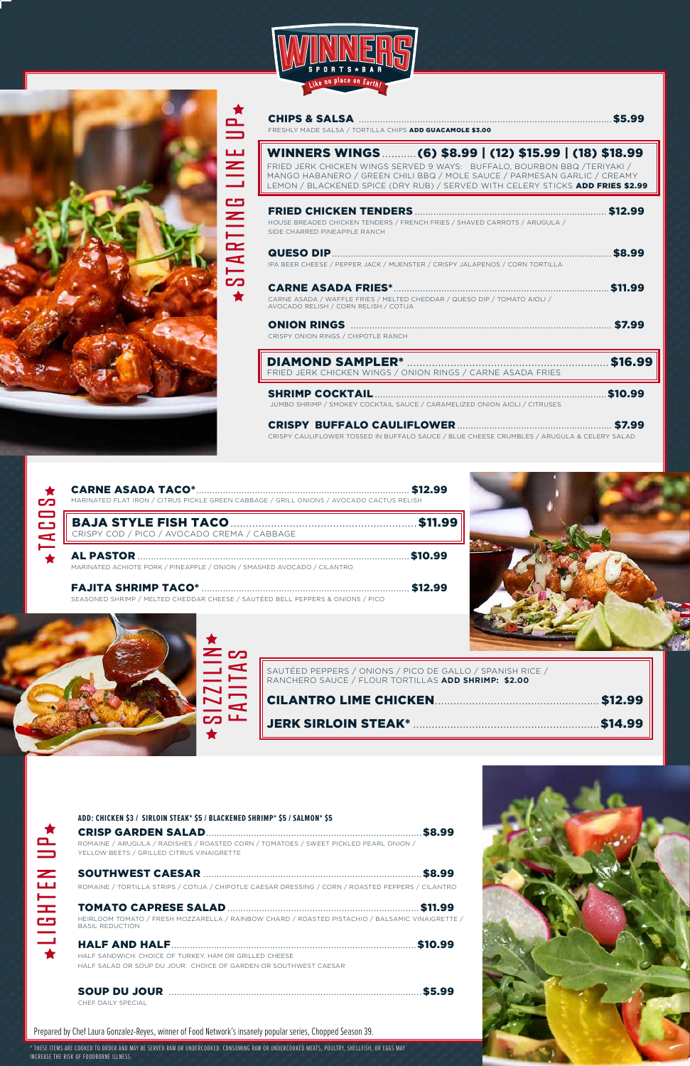TOMATO CAPRESE SALAD........................................................................\$11.99 HEIRLOOM TOMATO / FRESH MOZZARELLA / RAINBOW CHARD / ROASTED PISTACHIO / BALSAMIC VINAIGRETTE / BASIL REDUCTION

MARINATED ACHIOTE PORK / PINEAPPLE / ONION / SMASHED AVOCADO / CILANTRO

## FAJITA SHRIMP TACO\* .............................................................................. \$12.99

SEASONED SHRIMP / MELTED CHEDDAR CHEESE / SAUTÉED BELL PEPPERS & ONIONS / PICO









| WINNERS WINGS  (6) \$8.99   (12) \$15.99   (18) \$18.99<br>FRIED JERK CHICKEN WINGS SERVED 9 WAYS: BUFFALO, BOURBON BBQ /TERIYAKI /<br>MANGO HABANERO / GREEN CHILI BBQ / MOLE SAUCE / PARMESAN GARLIC / CREAMY<br>LEMON / BLACKENED SPICE (DRY RUB) / SERVED WITH CELERY STICKS ADD FRIES \$2.99                 |         |
|-------------------------------------------------------------------------------------------------------------------------------------------------------------------------------------------------------------------------------------------------------------------------------------------------------------------|---------|
| HOUSE BREADED CHICKEN TENDERS / FRENCH FRIES / SHAVED CARROTS / ARUGULA /<br>SIDE CHARRED PINEAPPLE RANCH                                                                                                                                                                                                         | \$12.99 |
| IPA BEER CHEESE / PEPPER JACK / MUENSTER / CRISPY JALAPENOS / CORN TORTILLA                                                                                                                                                                                                                                       | \$8.99  |
| CARNE ASADA / WAFFLE FRIES / MELTED CHEDDAR / QUESO DIP / TOMATO AIOLI /<br>AVOCADO RELISH / CORN RELISH / COTIJA                                                                                                                                                                                                 | \$11.99 |
| CRISPY ONION RINGS / CHIPOTLE RANCH                                                                                                                                                                                                                                                                               |         |
| <b>DIAMOND SAMPLER*</b><br>FRIED JERK CHICKEN WINGS / ONION RINGS / CARNE ASADA FRIES                                                                                                                                                                                                                             |         |
| SHRIMP COCKTAIL <b>And Accountant Contract Contract Contract Contract Contract Contract Contract Contract Contract Contract Contract Contract Contract Contract Contract Contract Contract Contract Contract Contract Contract C</b><br>JUMBO SHRIMP / SMOKEY COCKTAIL SAUCE / CARAMELIZED ONION AIOLI / CITRUSES | \$10.99 |
| CRISPY CAULIFLOWER TOSSED IN BUFFALO SAUCE / BLUE CHEESE CRUMBLES / ARUGULA & CELERY SALAD                                                                                                                                                                                                                        |         |

## **ADD: CHICKEN \$3 / SIRLOIN STEAK\* \$5 / BLACKENED SHRIMP\* \$5 / SALMON\* \$5**

CRISP GARDEN SALAD.................................................................................\$8.99 ROMAINE / ARUGULA / RADISHES / ROASTED CORN / TOMATOES / SWEET PICKLED PEARL ONION / YELLOW BEETS / GRILLED CITRUS VINAIGRETTE

SOUTHWEST CAESAR ..................................................................................\$8.99 ROMAINE / TORTILLA STRIPS / COTIJA / CHIPOTLE CAESAR DRESSING / CORN / ROASTED PEPPERS / CILANTRO

| $\mathbf{C}$ | MARINATED FLAT IRON / CITRUS PICKLE GREEN CABBAGE / GRILL ONIONS / AVOCADO CACTUS RELISH |
|--------------|------------------------------------------------------------------------------------------|
|              | BAJA STYLE FISH TACO SEMA / CABBAGE \$11.99                                              |
|              | AL PASTOR <b>MALL RESIDENT</b>                                                           |

HALF AND HALF............................................................................................\$10.99 HALF SANDWICH: CHOICE OF TURKEY, HAM OR GRILLED CHEESE HALF SALAD OR SOUP DU JOUR: CHOICE OF GARDEN OR SOUTHWEST CAESAR

SOUP DU JOUR ...............................................................................................\$5.99 CHEF DAILY SPECIAL

| SAUTÉED PEPPERS / ONIONS / PICO DE GALLO / SPANISH RICE /  |
|------------------------------------------------------------|
| ranchero sauce / flour tortillas <b>add shrimp: \$2.00</b> |

| ★                                              |                           |
|------------------------------------------------|---------------------------|
| $\overline{\phantom{0}}$                       | <b>C</b> Q<br>I           |
| $\blacktriangleright$<br>$\blacktriangleright$ | ►                         |
| <b>CQ</b>                                      | $\blacktriangleleft$<br>ᅩ |
| $\blacklozenge$                                |                           |

Prepared by Chef Laura Gonzalez-Reyes, winner of Food Network's insanely popular series, Chopped Season 39.